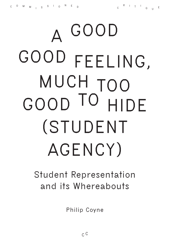# **A GOOD GOOD FEELING, MUCH TOO GOOD TO HIDE (STUDENT AGENCY)**

## **Student Representation and its Whereabouts**

**Philip Coyne**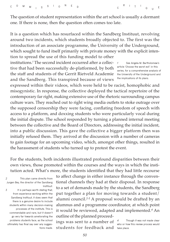The question of student representation within the art school is usually a dormant one. If there is none, then the question often comes too late.

It is a question which has resurfaced within the Sandberg Instituut, revolving around two incidents, which students broadly objected to. The first was the introduction of an associate programme, the University of the Underground, which sought to fund itself primarily with private money with the explicit intention to spread the use of this funding model to other

institutions.*<sup>1</sup>* The second incident occurred after a collective that had been successfully de-platformed, by both the staff and students of the Gerrit Rietveld Academie and the Sandberg. This transpired because of views

*1* **See Angela M. Bartholomew's article 'Choose the worst evil' in this series, for a comprehensive analysis of the University of the Underground and the implications of its plans.**

expressed within their videos, which were held to be racist, homophobic and misogynistic. In response, the collective deployed the tactical repertoire of the contemporary far right, making extensive use of the rhetoric surrounding campus culture wars. They reached out to right wing media outlets to stoke outrage over the supposed censorship they were facing, conflating freedom of speech with access to a platform, and doxxing students who were particularly vocal during the initial dispute. The school responded by turning a planned internal meeting between the collective and the Board of Directors, addressing the initial incident, into a public discussion. This gave the collective a bigger platform then was initially refused them. They arrived at the discussion with a number of cameras to gain footage for an upcoming video, which, amongst other things, resulted in the harassment of students who turned up to protest the event.

For the students, both incidents illustrated profound disparities between their own views, those promoted within the courses and the ways in which the institution acted. What's more, the students identified that they had little recourse

*2* **This plan came directly from Jurgen Bey, the director of the Sandberg Instituut.** 

*3* **It is perhaps worth stating that, from experience working within the Sandberg Instituut, it does seem that there is a genuine desire to include students within many decision-making processes of the institute. This is commendable and rare, but it doesn't go very far towards ameliorating the problems students face, as the school ultimately has final say over any suggestions made.**

to affect change in either instance through the conventional channels they had at their disposal. In response to a set of demands made by the students, the Sandberg put together a plan for moving towards a student/ alumni council.*2-3* A proposal would be drafted by an alumnus and a programme coordinator, at which point it would be reviewed, adapted and implemented.*<sup>4</sup>* An outline of the planned proceed-

ings was sent to a number of students for feedback and

*4* **Though it was not made clear who or how this review process would take place.**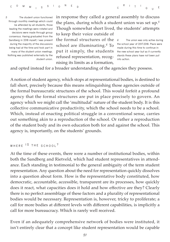*5* **The student union functioned through monthly meetings which could be attended by all students, those leading the meetings were rotated and decisions were made through group consensus. Having graduated from the Sandberg in 2018 myself, I was present during the majority of the discussions being had at the time and took part in many of the student union meetings. Nothing was published externally by the student union.**

in response they called a general assembly to discuss the plans, during which a student union was set up.*<sup>5</sup>* Though somewhat short lived, the students' attempts to keep their voice outside of

the formal structures of the school are illuminating.*<sup>6</sup>* To put it simply, the students refused representation, recognising its limits as a formation,

*6* **The union was only active during the school year of 2017-2018. Plans were made during this time to continue in the new school year but as it currently stands these plans have not been put into action.** 

and opted instead for a broader understanding of the agencies they possess.

A notion of student agency, which stops at representational bodies, is destined to fall short, precisely because this means relinquishing those agencies outside of the formal bureaucratic structures of the school. This would forfeit a profound agency that the formal structures are put in place precisely to govern. An agency which we might call the 'multitudal' nature of the student body. It is this collective communicative productivity, which the school needs to be a school. Which, instead of enacting political struggle in a conventional sense, carries out something akin to a reproduction of the school. Or rather a reproduction of the student body and its own education both for and against the school. This agency is, importantly, on the students' grounds.

```
WHERE I S THE SCHOOL ?
```
At the time of these events, there were a number of institutional bodies, within both the Sandberg and Rietveld, which had student representatives in attendance. Each standing in testimonial to the general ambiguity of the term student representation. Any question about the need for representation quickly dissolves into a question about form. How is the representative body constituted, how democratic, accountable, accessible, transparent are its processes, how quickly does it react, what capacities does it hold and how effective are they? Clearly there is no perfect assemblage of these factors and a plurality of representational bodies would be necessary. Representation is, however, tricky to proliferate; a call for more bodies at different levels with different capabilities, is implicitly a call for more bureaucracy. Which is rarely well received.

Even if an adequately comprehensive network of bodies were instituted, it isn't entirely clear that a concept like student representation would be capable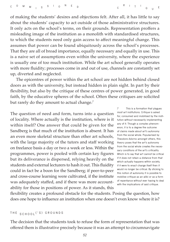of making the students' desires and objections felt. After all, it has little to say about the students' capacity to act outside of those administrative structures. It only acts on the school's terms, on their grounds. Representation proffers a misleading image of the institution as a monolith with standardised structures, to which the students need only gain access to affect meaningful change. This assumes that power can be found ubiquitously across the school's processes. That they are all of broad importance, equally necessary and equally in use. This is a naive set of assumptions even within the university, where the experience is usually one of too much institution. While the art school generally operates with more fluidity; processes come in and out of use, channels are constantly set up, diverted and neglected.

The epicentres of power within the art school are not hidden behind closed doors as with the university, but instead hidden in plain sight. In part by their flexibility, but also by the critique of these centres of power generated, in good faith, by the educative spheres of the school. Often these critiques are solicited but rarely do they amount to actual change.*<sup>7</sup>*

The question of need and form, turns into a question of locality. Where actually is the institution, where is it within itself? One answer that could be given for the Sandberg is that much of the institution is absent. It has an even more skeletal structure than other art schools, with the large majority of the tutors and staff working on freelance basis a day or two a week or less. Within the programmes, power is pooled with certain key figures but its deliverance is dispersed, relying heavily on the students and external lecturers to hash it out. This fluidity could in fact be a boon for the Sandberg; if peer-to-peer and cross-course learning were cultivated, if the institute was adequately staffed, and if there was more accountability for those in positions of power. As it stands, this

*7* **This is a formation that plagues most art institutions. Critique is asked for, consumed and mobilised by the institution without necessarily implementing any of it. Though a complex phenomenon, it is to a degree the outcome of claims made about art's autonomy from the social whole. Popularised by Theodore Adorno amongst others, this theory poses that the art's autonomy from the social whole creates the necessary conditions of the art's criticality. Which is to say that art cannot be critical if it does not retain a distance from that which actually happens within society, if it were to enact change itself then it would no longer be critical. By sticking to this notion of autonomy it is possible to mobilise critique as an alibi or as a form of repentance without ever having to deal with the implications of said critique.**

flexibility creates a profound obstacle for the students. Posing the question, how does one hope to influence an institution when one doesn't even know where it is?

#### **THE SCHOOL ('S) GROUNDS**

The decision that the students took to refuse the form of representation that was offered them is illustrative precisely because it was an attempt to circumnavigate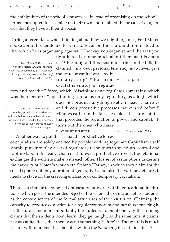the ambiguities of the school's processes. Instead of organising on the school's terms, they opted to assemble on their own and retained the broad set of agencies that they have at their disposal.

During a recent talk, when thinking about how we might organise, Fred Moten spoke about his tendency to want to focus on those around him instead of that which he is organising against. "The way you organise and the way you

*8* **Fred Moten, 'A Conversation with Fred Moten 12/02/18'** *YouTube***. Video File. December 3, 2018. Accessed through: [https://www.youtube.com/](https://www.youtube.com/watch?v=I6b5N_u7Ebs)** fight is really not so much about them as it is about us."*<sup>8</sup>* Fleshing out this position earlier in the talk, he claimed, "my own personal tendency is to never give the state or capital any credit,

for anything". *<sup>9</sup>* F o r h i m , **[watch?v=I6b5N\\_u7Ebs,](https://www.youtube.com/watch?v=I6b5N_u7Ebs) [36:36].** *<sup>9</sup>* **Ibid., [27:59].** capital is simply a "regula-

tory and reactive" force, which "disciplines and regulates something which was there before it", positioning capital as only regulatory, as a logic which

*10* **The use of the word 'before' is complex, in that it is a constant and continual before, a metaphysical before. One which both precedes the processes of capital but also precedes every instance of capital.** 

does not produce anything itself. Instead it narrows and directs productive processes that existed before.*<sup>10</sup>* Minutes earlier in the talk, he makes it clear what it is that precedes the regulation of power and capital. "It turns out the ones who make

new stuff up are us."*<sup>11</sup>*

*11* **Moten (note 8), [35:25].**

Another way to put this, is that the productive forces

of capitalism are solely enacted by people working together. Capitalism itself simply puts into play a set of regulatory techniques to speed up, control and capture labour. Instead, what constitutes its productive drive is the relational exchanges the workers make with each other. This set of assumptions underline the majority of Moten's work with Stefano Harney, in which they claim for the social sphere not only a profound generativity, but also the various defences it needs to stave off the creeping enclosure of contemporary capitalism.

There is a similar teleological obfuscation at work within educational institutions, which poses the intended object of the school, the education of its students, as the consequences of the formal structures of the institution. Claiming the capacity to produce education for a regulatory system and not those enacting it, i.e. the tutors and more importantly the students. To put it one way, this framing claims that the students don't learn, they get taught. At the same time, it claims, just as capital does, that there wasn't something 'before' it. Though this is much clearer within universities then it is within the Sandberg, it is still in effect.*<sup>12</sup>*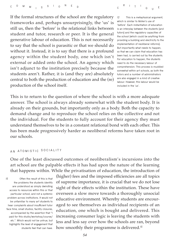If the formal structures of the school are the regulatory frameworks and, perhaps unsurprisingly, the 'us' is still us, then the 'before' is the relational links between student and tutor, research or peer. It is the general generative labour of education. This is not necessarily to say that the school is parasitic or that we should do without it. Instead, it is to say that there is a profound agency within the student body, one which isn't external or added onto the school. An agency which isn't adjunct to the institution precisely because the students aren't. Rather, it is (and they are) absolutely central to both the production of education and the (re) production of the school itself.

*12* **This is a metaphysical argument, which is similar to Moten's use of 'before'. Each instantiation of education is an interplay between the students (and tutors) and the regulatory capacities of the school (which could be anything from providing a building and electricity to the implementation of neoliberal reforms). But importantly what needs to happen, so that we can claim that education has been had, is carried out by the students. For education to happen, the students need to do the necessary labour of comprehension. This process is muddied somewhat within art schools, as both the tutors and a number of administrators are also engaged in a kind of creative labour. However, this labour would be included in the 'us'.**

**<sup>Q</sup> <sup>U</sup> <sup>E</sup>**

**<sup>R</sup> <sup>I</sup> <sup>T</sup> <sup>I</sup>**

This is to return to the question of where the school is with a more adequate answer. The school is always already somewhat with the student body. It is already on their grounds, but importantly only as a body. Both the capacity to demand change and to reproduce the school relies on the collective and not the individual. For the students to fully account for their agency they must understand themselves to be in a constant relational bond with each other. This has been made progressively harder as neoliberal reforms have taken root in our schools.

### **A N ATOMISTIC SOCIALITY**

One of the least discussed outcomes of neoliberalism's incursions into the art school are the palpable effects it has had upon the nature of the learning that happens within. While the privatisation of education, the introduction of

*13* **Often the result of this is that the problems the students identify are understood as simply dwindling access to resources within this or that particular school, and not a systemic problem across institutions. It would not be unfamiliar to many art students to hear complaints about insufficient tutor face time, small studios, facility closures, accompanied by the assertion that "I paid for this studio/workshop/course/ etc.". Which would not be untrue, but highlights the level of engagement that students feel that can have.**

(higher) fees and the imposed efficiencies are all topics of supreme importance, it is crucial that we do not lose sight of their effects within the institution. These have overseen a slow move towards a thoroughly unsocial educative environment. Whereby students are encouraged to see themselves as individual recipients of an education, one which is bought and delivered. This increasing consumer logic is leaving the students with less and less say over how the schools are ran, beyond how smoothly their programme is delivered.*<sup>13</sup>*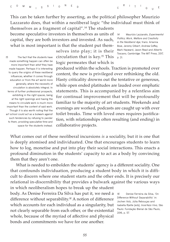**<sup>C</sup> <sup>O</sup> <sup>M</sup> <sup>M</sup> <sup>I</sup> <sup>S</sup> <sup>S</sup> <sup>I</sup> <sup>O</sup> <sup>N</sup> <sup>E</sup> <sup>D</sup>         <sup>C</sup>**

**<sup>R</sup> <sup>I</sup> <sup>T</sup> <sup>I</sup> <sup>Q</sup> <sup>U</sup> <sup>E</sup>**

This can be taken further by asserting, as the political philosopher Maurizio Lazzarato does, that within a neoliberal logic "the individual must think of themselves as a fragment of capital".*<sup>14</sup>* The students

become speculative investors in themselves as units of capital, they are both investors and invested. As such, what is most important is that the student put them-

> selves into play; it is their circulation that is key.*<sup>15</sup>* This logic permeates that which is

*14* **Maurizio Lazzarato,** *Experimental Politics; Work, Welfare and Creativity in the Neoliberal Age***, trans. Arianna Bove, Jeremy Gilbert, Andrew Goffey, Mark Hayward, Jason Read and Alberto Toscano, Cambridge: The MIT Press, 2017, p. 21.**

*15* **The fact that the students have made something happen can often be more important than** *what* **they have made happen. Perhaps it is interesting to query the origins of these neoliberal influences, whether it comes through education or from the art world more generally, where the necessity of circulation is absolutely integral. In terms of further professional prospects, exhibiting in the right spaces, being at the right openings and having the means to circulate work is much more important than the content of said work. Though it is also worth noting that the art school could act as a bulwark against such tendencies by refusing to pander to them, providing speculative time and space for the students instead.**

produced within the schools. Traction is promoted over content, the new is privileged over rethinking the old. Hasty criticality drowns out the tentative or generous, while open ended platitudes are lauded over emphatic statements. This is accompanied by a relentless aim for continual improvement that will be profoundly familiar to the majority of art students. Weekends and evenings are worked, podcasts are caught up with over toilet breaks. Time with loved ones requires justification, with relationships often resulting (and ending) in collaborative projects.

What comes out of these neoliberal incursions *is* a sociality, but it is one that is deeply atomised and individuated. One that encourages students to learn how to log, monetise and put into play their social interactions. This enacts a profound diminution in the students' capacity to act as a body by convincing them that they aren't one.

What is needed to embolden the students' agency is a different sociality. One that confounds individuation, producing a student body in which it is difficult to discern where one student starts and the other ends. It is precisely our relational in-discernibility that provides a bulwark against the various ways in which neoliberalism hopes to break up the student

body. As Denise Ferreira Da Silva has put it, we need a difference without separability.*<sup>16</sup>* A notion of difference which accounts for each individual as a singularity, but not clearly separable from each other, or the existential whole, because of the myriad of affective and physical bonds and commitments we have for one another.

*16* **Denise Ferreira da Silva, 'On Difference Without Separability' in: Jochen Volz, Júlia Rebouças and Isabella Rjeille (eds),** *Incerteza Viva***, São Paulo: Fundação Bienal de São Paulo, 2016, p. 57.**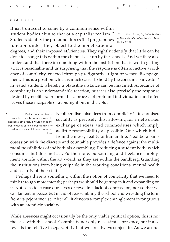#### **COMPLICITY**

It isn't unusual to come by a common sense within student bodies akin to that of a capitalist realism.*<sup>17</sup>* Students identify the profound duress that programmes function under; they object to the monetisation of

*17* **Mark Fisher,** *Capitalist Realism: Is There No Alternative***, London: Zero Books, 2009.**

degrees, and their imposed efficiencies. They rightly identify that little can be done to change this within the channels set up by the schools. And yet they also understand that there is something within the institution that is worth getting at. It is reasonable and unsurprising that the response is often an active avoidance of complicity, enacted through prefigurative flight or weary disengagement. This is a position which is much easier to hold by the consumer/investor/ invested student, whereby a plausible distance can be imagined. Avoidance of complicity is an understandable reaction, but it is also precisely the response desired by neoliberal reform. It is a process of profound individuation and often leaves those incapable of avoiding it out in the cold.

*18* **Perhaps our own fear of complicity has been exasperated by neoliberalism's fear. It would not be the first tendency of neoliberalism which he had incorporated into our day to day lives.**

Neoliberalism also flees from complicity.*<sup>18</sup>* Its atomised sociality is precisely this, allowing for a networked exchange of ideas and commodities which imply as little responsibility as possible. One which hides from the messy reality of human life. Neoliberalism's

obsession with the discrete and countable provides a defence against the multitudal possibilities of individuals assembling. Producing a student body which consumes but does not act. Furthermore, outsourcing and freelance employment are rife within the art world, as they are within the Sandberg. Guarding the institutions from being culpable in the working conditions, mental health and security of their staff.

Perhaps there is something within the notion of complicity that we need to think through more intently, perhaps we should be getting in it and expanding on it. Not so as to excuse ourselves or revel in a lack of compassion, nor so that we can lament in peace, but in aid of reassembling the school and wrestling the term from its pejorative use. After all, it denotes a complex entanglement incongruous with an atomistic sociality.

While absences might occasionally be the only viable political option, this is not the case with the school. Complicity not only necessitates presence, but it also reveals the relative inseparability that we are always subject to. As we accrue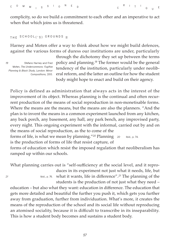complicity, so do we build a commitment to each other and an imperative to act when that which joins us is threatened.

```
THE SCHOOL ('S) GROUNDS II
```
Harney and Moten offer a way to think about how we might build defences, against the various forms of duress our institutions are under, particularly

*19* **Stefano Harney and Fred Moten,** *The Undercommons: Fugitive Planning & Black Study***, London: Minor Compositions, 2013.**

through the dichotomy they set up between the terms policy and planning.*<sup>19</sup>* The former would be the general tendency of the institution, particularly under neoliberal reform, and the latter an outline for how the student body might hope to enact and build on their agency.

Policy is defined as administration that always acts in the interest of the improvement of its object. Whereas planning is the continual and often recurrent production of the means of social reproduction in non-monetisable forms. Where the means are the means, but the means are also the planners. "And the plan is to invent the means in a common experiment launched from any kitchen, any back porch, any basement, any hall, any park bench, any improvised party, every night. This ongoing experiment with the informal, carried out by and on the means of social reproduction, as the to come of the forms of life, is what we mean by planning."*<sup>20</sup>* Planning is the production of forms of life that resist capture, of forms of education which resist the imposed regulation that neoliberalism has ramped up within our schools. *20* **Ibid., p. 74.**

What planning carries out is "self-sufficiency at the social level, and it reproduces in its experiment not just what it needs, life, but

what it wants, life in difference".*<sup>21</sup>* The planning of the *21* **Ibid., p. 76.** students is the production of not just what they need –

education – but also what they want: education in difference. The education that gets more detailed and beautiful the further you push it, which gets you further away from graduation, further from individuation. What's more, it creates the means of the reproduction of the school and its social life without reproducing an atomised sociality, because it is difficult to transcribe in its inseparability. This is how a student body becomes and sustains a student body.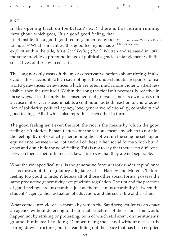#### **RIOT !**

In the opening track on Joe Bataan's *Riot!* there is this refrain running throughout, which goes, "It's a good good feeling, that

I feel inside. It's a good good feeling, much too good to hide."*<sup>22</sup>* What is meant by this good feeling is made *22* **Joe Bataan.** *Riot!***. Fania Records, 1968, compact disc.**

explicit within the title, *It's a Good Feeling (Riot)*. Written and released in 1968, the song provides a profound image of political agencies entanglement with the social lives of those who enact it.

The song not only casts off the most conservative notions about rioting, it also evades those accounts which say rioting is the understandable response to real world grievances. Grievances which are often much more violent, albeit less visible, then the riot itself. Within the song the riot isn't necessarily reactive in these ways. It isn't simply the consequence of grievance, nor its own cause, nor a cause in itself. It instead inhabits a continuum as both reaction to and production of solidarity, political agency, love, generative relationality, complicity and good feelings. All of which also reproduce each other in turn.

The good feeling isn't even the riot, the riot is the means by which the good feeling isn't hidden. Bataan flattens out the various means by which to not hide the feeling. By not explicitly mentioning the riot within the song he sets up an equivalence between the riot and all of those other social forms which build, enact and don't hide the good feeling. This is not to say that there is no difference between them. Their difference is key. It is to say that they are not separable.

What the riot specifically is, is the generative force at work under capital once it has thrown off its regulatory allegiances. It is Harney and Moten's 'before' feeling too good to hide. Whereas all of those other social forms, possess the same productive generativity except within regulation. The riot and the practices of good feelings are inseparable, just as there is an inseparability between the students' agency, their actuation of education, and the social life of the school.

What comes into view is a means by which the Sandberg students can enact an agency without deferring to the formal structures of the school. This would happen not by striking or protesting, both of which still aren't on the students' ground, but instead by doing. Democratising the school without necessarily tearing down structures, but instead filling out the space that has been emptied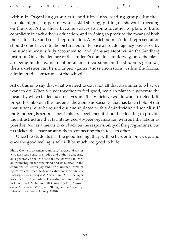within it. Organising group crits and film clubs, reading groups, lunches, karaoke nights, support networks, skill sharing, putting on shows, barbecuing on the roof. All of these become spaces to come together to plan, to build complicity in each other's education, and in doing so produce the means of both their educative and social reproduction. At which point student representation should come back into the picture, but only once a broader agency possessed by the student body is fully accounted for and plans are afoot within the Sandberg Instituut. Once the defence of the student's domain is underway, once the plans are being made against neoliberalism's incursions on the student's grounds, then a defence can be mounted against those incursions within the formal administrative structures of the school.

All of this is to say that what we need to do is not all that dissimilar to what we want to do. When we get together to feel good, we also plan; we generate the means by which to defend ourselves and that which we would want to defend. To properly embolden the students, the atomistic sociality that has taken hold of our institutions must be routed out and replaced with a de-individuated sociality. If the Sandberg is serious about this prospect, then it should be looking to provide the infrastructure that facilitates peer-to-peer organisation with as little labour as possible. Not as a means to cut back on the responsibility of the programmes, but to thicken the space around them, connecting them to each other.

Once the students feel the good feeling, they will be harder to break up, and once the good feeling is felt, it'll be much too good to hide.

Philip Coyne is an Amsterdam based artist and writer who uses text, sculpture, video and audio to elaborate on a generative poetics of social life. His work touches on friendship, urban wasteland and its relation to the commons, collective joy and non-Cartesian forms of figurative art. Recent texts and exhibitions include *Soft Landings Editions, Sexyland,* Amsterdam (2019), 'A Paper for a Field in Amsterdam; Figurative Art and Falling in Love, Black Metal and UK Garage' (2018), *Shifting Class,* Amsterdam (2018) and 'Being Sent to Coventry; Friendship and Weird Inquiry' (2018).